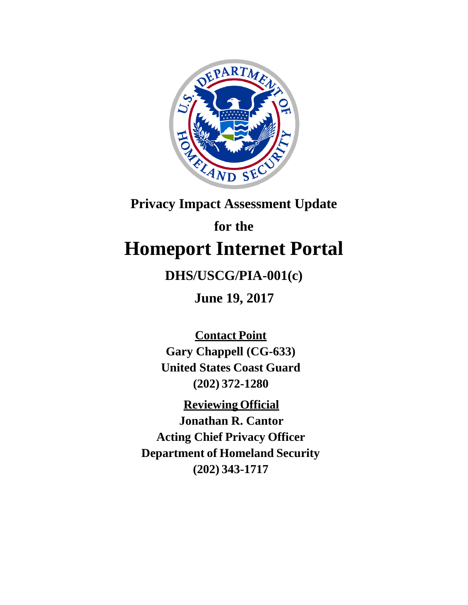

## **Privacy Impact Assessment Update**

# **for the Homeport Internet Portal**

## **DHS/USCG/PIA-001(c)**

**June 19, 2017**

**Contact Point Gary Chappell (CG-633) United States Coast Guard (202) 372-1280**

**Reviewing Official Jonathan R. Cantor Acting Chief Privacy Officer Department of Homeland Security (202) 343-1717**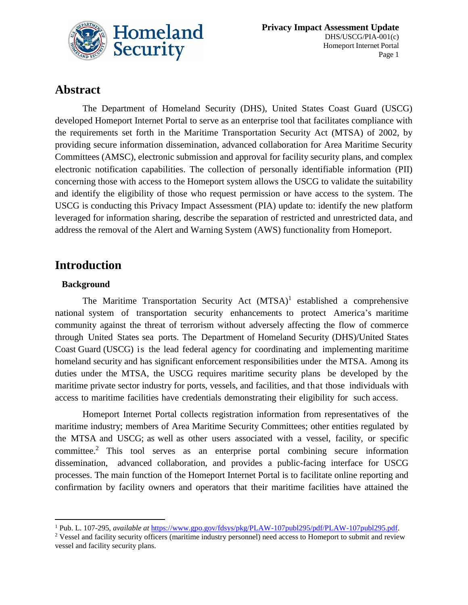

### **Abstract**

The Department of Homeland Security (DHS), United States Coast Guard (USCG) developed Homeport Internet Portal to serve as an enterprise tool that facilitates compliance with the requirements set forth in the Maritime Transportation Security Act (MTSA) of 2002, by providing secure information dissemination, advanced collaboration for Area Maritime Security Committees (AMSC), electronic submission and approval for facility security plans, and complex electronic notification capabilities. The collection of personally identifiable information (PII) concerning those with access to the Homeport system allows the USCG to validate the suitability and identify the eligibility of those who request permission or have access to the system. The USCG is conducting this Privacy Impact Assessment (PIA) update to: identify the new platform leveraged for information sharing, describe the separation of restricted and unrestricted data, and address the removal of the Alert and Warning System (AWS) functionality from Homeport.

### **Introduction**

#### **Background**

 $\overline{\phantom{a}}$ 

The Maritime Transportation Security Act  $(MTSA)^1$  established a comprehensive national system of transportation security enhancements to protect America's maritime community against the threat of terrorism without adversely affecting the flow of commerce through United States sea ports. The Department of Homeland Security (DHS)/United States Coast Guard (USCG) is the lead federal agency for coordinating and implementing maritime homeland security and has significant enforcement responsibilities under the MTSA. Among its duties under the MTSA, the USCG requires maritime security plans be developed by the maritime private sector industry for ports, vessels, and facilities, and that those individuals with access to maritime facilities have credentials demonstrating their eligibility for such access.

Homeport Internet Portal collects registration information from representatives of the maritime industry; members of Area Maritime Security Committees; other entities regulated by the MTSA and USCG; as well as other users associated with a vessel, facility, or specific committee. <sup>2</sup> This tool serves as an enterprise portal combining secure information dissemination, advanced collaboration, and provides a public-facing interface for USCG processes. The main function of the Homeport Internet Portal is to facilitate online reporting and confirmation by facility owners and operators that their maritime facilities have attained the

<sup>1</sup> Pub. L. 107-295, *available at* [https://www.gpo.gov/fdsys/pkg/PLAW-107publ295/pdf/PLAW-107publ295.pdf.](https://www.gpo.gov/fdsys/pkg/PLAW-107publ295/pdf/PLAW-107publ295.pdf)

<sup>&</sup>lt;sup>2</sup> Vessel and facility security officers (maritime industry personnel) need access to Homeport to submit and review vessel and facility security plans.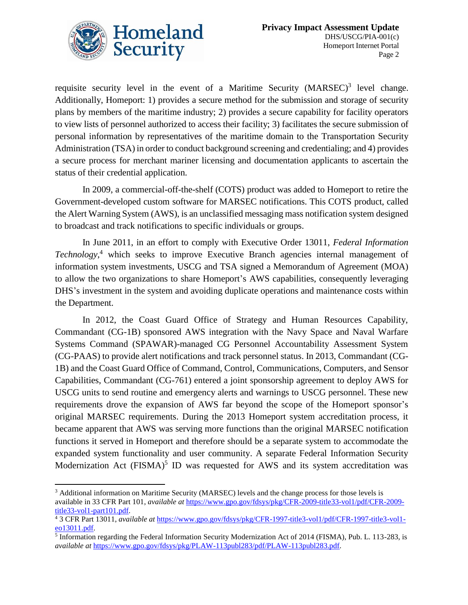

 $\overline{\phantom{a}}$ 

requisite security level in the event of a Maritime Security  $(MARSEC)^3$  level change. Additionally, Homeport: 1) provides a secure method for the submission and storage of security plans by members of the maritime industry; 2) provides a secure capability for facility operators to view lists of personnel authorized to access their facility; 3) facilitates the secure submission of personal information by representatives of the maritime domain to the Transportation Security Administration (TSA) in order to conduct background screening and credentialing; and 4) provides a secure process for merchant mariner licensing and documentation applicants to ascertain the status of their credential application.

In 2009, a commercial-off-the-shelf (COTS) product was added to Homeport to retire the Government-developed custom software for MARSEC notifications. This COTS product, called the Alert Warning System (AWS), is an unclassified messaging mass notification system designed to broadcast and track notifications to specific individuals or groups.

In June 2011, in an effort to comply with Executive Order 13011, *Federal Information Technology*, <sup>4</sup> which seeks to improve Executive Branch agencies internal management of information system investments, USCG and TSA signed a Memorandum of Agreement (MOA) to allow the two organizations to share Homeport's AWS capabilities, consequently leveraging DHS's investment in the system and avoiding duplicate operations and maintenance costs within the Department.

In 2012, the Coast Guard Office of Strategy and Human Resources Capability, Commandant (CG-1B) sponsored AWS integration with the Navy Space and Naval Warfare Systems Command (SPAWAR)-managed CG Personnel Accountability Assessment System (CG-PAAS) to provide alert notifications and track personnel status. In 2013, Commandant (CG-1B) and the Coast Guard Office of Command, Control, Communications, Computers, and Sensor Capabilities, Commandant (CG-761) entered a joint sponsorship agreement to deploy AWS for USCG units to send routine and emergency alerts and warnings to USCG personnel. These new requirements drove the expansion of AWS far beyond the scope of the Homeport sponsor's original MARSEC requirements. During the 2013 Homeport system accreditation process, it became apparent that AWS was serving more functions than the original MARSEC notification functions it served in Homeport and therefore should be a separate system to accommodate the expanded system functionality and user community. A separate Federal Information Security Modernization Act (FISMA)<sup>5</sup> ID was requested for AWS and its system accreditation was

<sup>&</sup>lt;sup>3</sup> Additional information on Maritime Security (MARSEC) levels and the change process for those levels is available in 33 CFR Part 101, *available at* [https://www.gpo.gov/fdsys/pkg/CFR-2009-title33-vol1/pdf/CFR-2009](https://www.gpo.gov/fdsys/pkg/CFR-2009-title33-vol1/pdf/CFR-2009-title33-vol1-part101.pdf) [title33-vol1-part101.pdf.](https://www.gpo.gov/fdsys/pkg/CFR-2009-title33-vol1/pdf/CFR-2009-title33-vol1-part101.pdf)

<sup>4</sup> 3 CFR Part 13011, *available at* [https://www.gpo.gov/fdsys/pkg/CFR-1997-title3-vol1/pdf/CFR-1997-title3-vol1](https://www.gpo.gov/fdsys/pkg/CFR-1997-title3-vol1/pdf/CFR-1997-title3-vol1-eo13011.pdf) [eo13011.pdf.](https://www.gpo.gov/fdsys/pkg/CFR-1997-title3-vol1/pdf/CFR-1997-title3-vol1-eo13011.pdf)

<sup>&</sup>lt;sup>5</sup> Information regarding the Federal Information Security Modernization Act of 2014 (FISMA), Pub. L. 113-283, is *available at* [https://www.gpo.gov/fdsys/pkg/PLAW-113publ283/pdf/PLAW-113publ283.pdf.](https://www.gpo.gov/fdsys/pkg/PLAW-113publ283/pdf/PLAW-113publ283.pdf)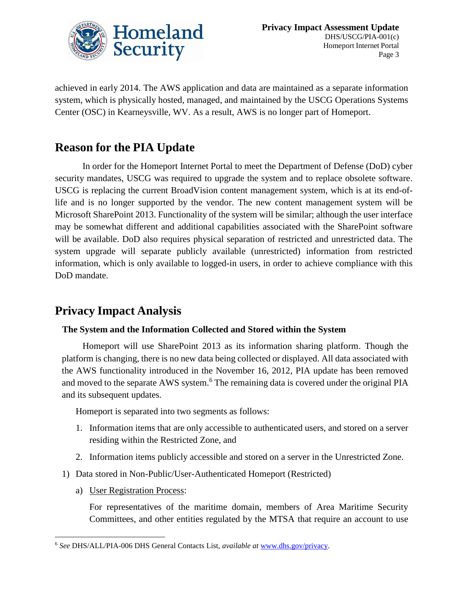

achieved in early 2014. The AWS application and data are maintained as a separate information system, which is physically hosted, managed, and maintained by the USCG Operations Systems Center (OSC) in Kearneysville, WV. As a result, AWS is no longer part of Homeport.

## **Reason for the PIA Update**

In order for the Homeport Internet Portal to meet the Department of Defense (DoD) cyber security mandates, USCG was required to upgrade the system and to replace obsolete software. USCG is replacing the current BroadVision content management system, which is at its end-oflife and is no longer supported by the vendor. The new content management system will be Microsoft SharePoint 2013. Functionality of the system will be similar; although the user interface may be somewhat different and additional capabilities associated with the SharePoint software will be available. DoD also requires physical separation of restricted and unrestricted data. The system upgrade will separate publicly available (unrestricted) information from restricted information, which is only available to logged-in users, in order to achieve compliance with this DoD mandate.

## **Privacy Impact Analysis**

#### **The System and the Information Collected and Stored within the System**

Homeport will use SharePoint 2013 as its information sharing platform. Though the platform is changing, there is no new data being collected or displayed. All data associated with the AWS functionality introduced in the November 16, 2012, PIA update has been removed and moved to the separate AWS system. <sup>6</sup> The remaining data is covered under the original PIA and its subsequent updates.

Homeport is separated into two segments as follows:

- 1. Information items that are only accessible to authenticated users, and stored on a server residing within the Restricted Zone, and
- 2. Information items publicly accessible and stored on a server in the Unrestricted Zone.
- 1) Data stored in Non-Public/User-Authenticated Homeport (Restricted)
	- a) User Registration Process:

 $\overline{\phantom{a}}$ 

For representatives of the maritime domain, members of Area Maritime Security Committees, and other entities regulated by the MTSA that require an account to use

<sup>6</sup> *See* DHS/ALL/PIA-006 DHS General Contacts List, *available at* [www.dhs.gov/privacy.](http://www.dhs.gov/privacy)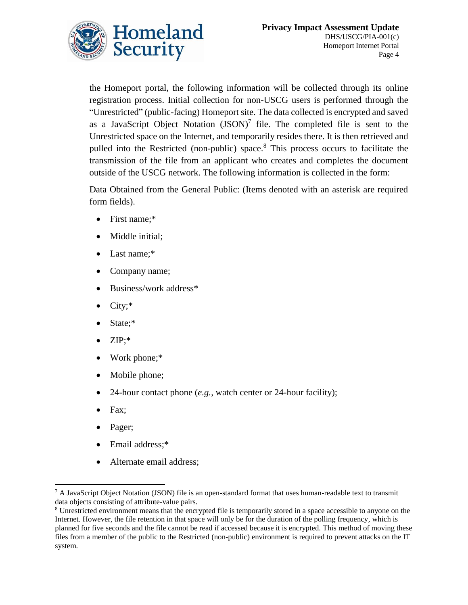

the Homeport portal, the following information will be collected through its online registration process. Initial collection for non-USCG users is performed through the "Unrestricted" (public-facing) Homeport site. The data collected is encrypted and saved as a JavaScript Object Notation  $(JSON)^7$  file. The completed file is sent to the Unrestricted space on the Internet, and temporarily resides there. It is then retrieved and pulled into the Restricted (non-public) space.<sup>8</sup> This process occurs to facilitate the transmission of the file from an applicant who creates and completes the document outside of the USCG network. The following information is collected in the form:

Data Obtained from the General Public: (Items denoted with an asterisk are required form fields).

- First name;\*
- Middle initial;
- Last name;\*
- Company name;
- Business/work address\*
- City;\*
- State;\*
- ZIP;\*
- Work phone;\*
- Mobile phone;
- 24-hour contact phone (*e.g.*, watch center or 24-hour facility);
- Fax;

 $\overline{\phantom{a}}$ 

- Pager;
- Email address;\*
- Alternate email address;

 $^7$  A JavaScript Object Notation (JSON) file is an open-standard format that uses human-readable text to transmit data objects consisting of attribute-value pairs.

<sup>&</sup>lt;sup>8</sup> Unrestricted environment means that the encrypted file is temporarily stored in a space accessible to anyone on the Internet. However, the file retention in that space will only be for the duration of the polling frequency, which is planned for five seconds and the file cannot be read if accessed because it is encrypted. This method of moving these files from a member of the public to the Restricted (non-public) environment is required to prevent attacks on the IT system.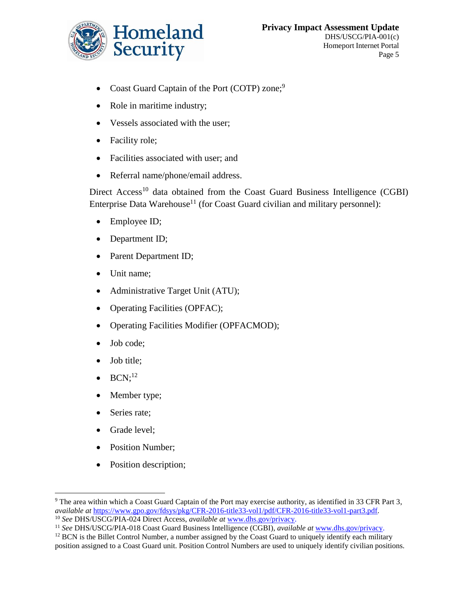

- Coast Guard Captain of the Port (COTP) zone;<sup>9</sup>
- Role in maritime industry;
- Vessels associated with the user;
- Facility role;
- Facilities associated with user; and
- Referral name/phone/email address.

Direct Access<sup>10</sup> data obtained from the Coast Guard Business Intelligence (CGBI) Enterprise Data Warehouse<sup>11</sup> (for Coast Guard civilian and military personnel):

- Employee ID;
- Department ID;
- Parent Department ID;
- Unit name;
- Administrative Target Unit (ATU);
- Operating Facilities (OPFAC);
- Operating Facilities Modifier (OPFACMOD);
- Job code;
- Job title;
- $\bullet$  BCN;<sup>12</sup>
- Member type;
- Series rate;
- Grade level;

l

- Position Number;
- Position description;

<sup>9</sup> The area within which a Coast Guard Captain of the Port may exercise authority, as identified in 33 CFR Part 3, *available at* [https://www.gpo.gov/fdsys/pkg/CFR-2016-title33-vol1/pdf/CFR-2016-title33-vol1-part3.pdf.](https://www.gpo.gov/fdsys/pkg/CFR-2016-title33-vol1/pdf/CFR-2016-title33-vol1-part3.pdf)

<sup>10</sup> *See* DHS/USCG/PIA-024 Direct Access, *available at* [www.dhs.gov/privacy.](http://www.dhs.gov/privacy)

<sup>11</sup> *See* DHS/USCG/PIA-018 Coast Guard Business Intelligence (CGBI), *available at* [www.dhs.gov/privacy.](http://www.dhs.gov/privacy)

 $12$  BCN is the Billet Control Number, a number assigned by the Coast Guard to uniquely identify each military position assigned to a Coast Guard unit. Position Control Numbers are used to uniquely identify civilian positions.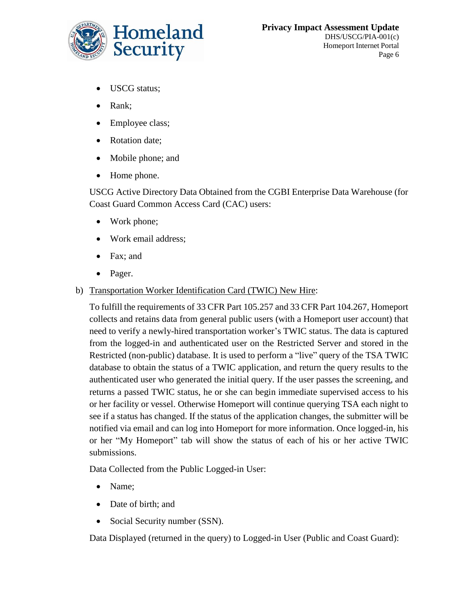

- USCG status;
- Rank;
- Employee class;
- Rotation date;
- Mobile phone; and
- Home phone.

USCG Active Directory Data Obtained from the CGBI Enterprise Data Warehouse (for Coast Guard Common Access Card (CAC) users:

- Work phone;
- Work email address;
- Fax; and
- Pager.
- b) Transportation Worker Identification Card (TWIC) New Hire:

To fulfill the requirements of 33 CFR Part 105.257 and 33 CFR Part 104.267, Homeport collects and retains data from general public users (with a Homeport user account) that need to verify a newly-hired transportation worker's TWIC status. The data is captured from the logged-in and authenticated user on the Restricted Server and stored in the Restricted (non-public) database. It is used to perform a "live" query of the TSA TWIC database to obtain the status of a TWIC application, and return the query results to the authenticated user who generated the initial query. If the user passes the screening, and returns a passed TWIC status, he or she can begin immediate supervised access to his or her facility or vessel. Otherwise Homeport will continue querying TSA each night to see if a status has changed. If the status of the application changes, the submitter will be notified via email and can log into Homeport for more information. Once logged-in, his or her "My Homeport" tab will show the status of each of his or her active TWIC submissions.

Data Collected from the Public Logged-in User:

- Name;
- Date of birth; and
- Social Security number (SSN).

Data Displayed (returned in the query) to Logged-in User (Public and Coast Guard):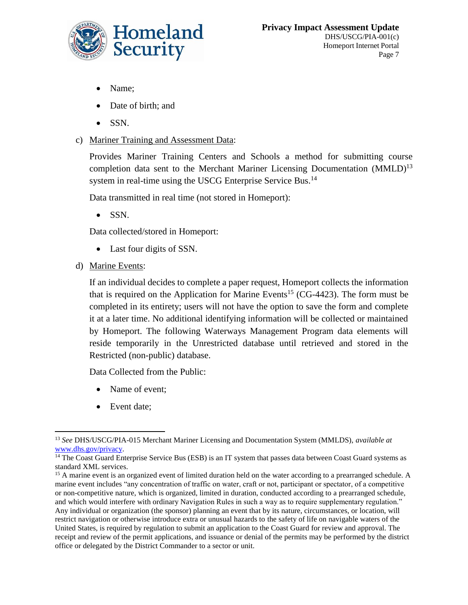

- Name;
- Date of birth; and
- $\bullet$  SSN.
- c) Mariner Training and Assessment Data:

Provides Mariner Training Centers and Schools a method for submitting course completion data sent to the Merchant Mariner Licensing Documentation (MMLD)<sup>13</sup> system in real-time using the USCG Enterprise Service Bus.<sup>14</sup>

Data transmitted in real time (not stored in Homeport):

 $\bullet$  SSN.

Data collected/stored in Homeport:

- Last four digits of SSN.
- d) Marine Events:

If an individual decides to complete a paper request, Homeport collects the information that is required on the Application for Marine Events<sup>15</sup> (CG-4423). The form must be completed in its entirety; users will not have the option to save the form and complete it at a later time. No additional identifying information will be collected or maintained by Homeport. The following Waterways Management Program data elements will reside temporarily in the Unrestricted database until retrieved and stored in the Restricted (non-public) database.

Data Collected from the Public:

- Name of event;
- Event date;

 $\overline{\phantom{a}}$ <sup>13</sup> *See* DHS/USCG/PIA-015 Merchant Mariner Licensing and Documentation System (MMLDS), *available at*  [www.dhs.gov/privacy.](http://www.dhs.gov/privacy)

<sup>&</sup>lt;sup>14</sup> The Coast Guard Enterprise Service Bus (ESB) is an IT system that passes data between Coast Guard systems as standard XML services.

<sup>&</sup>lt;sup>15</sup> A marine event is an organized event of limited duration held on the water according to a prearranged schedule. A marine event includes "any concentration of traffic on water, craft or not, participant or spectator, of a competitive or non-competitive nature, which is organized, limited in duration, conducted according to a prearranged schedule, and which would interfere with ordinary Navigation Rules in such a way as to require supplementary regulation." Any individual or organization (the sponsor) planning an event that by its nature, circumstances, or location, will restrict navigation or otherwise introduce extra or unusual hazards to the safety of life on navigable waters of the United States, is required by regulation to submit an application to the Coast Guard for review and approval. The receipt and review of the permit applications, and issuance or denial of the permits may be performed by the district office or delegated by the District Commander to a sector or unit.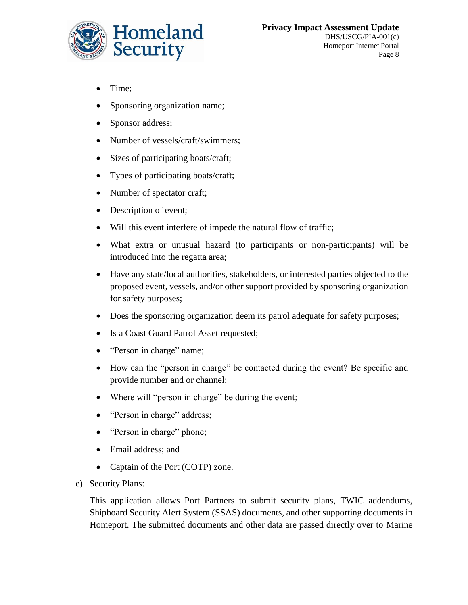

- Time;
- Sponsoring organization name;
- Sponsor address;
- Number of vessels/craft/swimmers;
- Sizes of participating boats/craft;
- Types of participating boats/craft;
- Number of spectator craft;
- Description of event;
- Will this event interfere of impede the natural flow of traffic;
- What extra or unusual hazard (to participants or non-participants) will be introduced into the regatta area;
- Have any state/local authorities, stakeholders, or interested parties objected to the proposed event, vessels, and/or other support provided by sponsoring organization for safety purposes;
- Does the sponsoring organization deem its patrol adequate for safety purposes;
- Is a Coast Guard Patrol Asset requested;
- "Person in charge" name;
- How can the "person in charge" be contacted during the event? Be specific and provide number and or channel;
- Where will "person in charge" be during the event;
- "Person in charge" address;
- "Person in charge" phone;
- Email address; and
- Captain of the Port (COTP) zone.
- e) Security Plans:

This application allows Port Partners to submit security plans, TWIC addendums, Shipboard Security Alert System (SSAS) documents, and other supporting documents in Homeport. The submitted documents and other data are passed directly over to Marine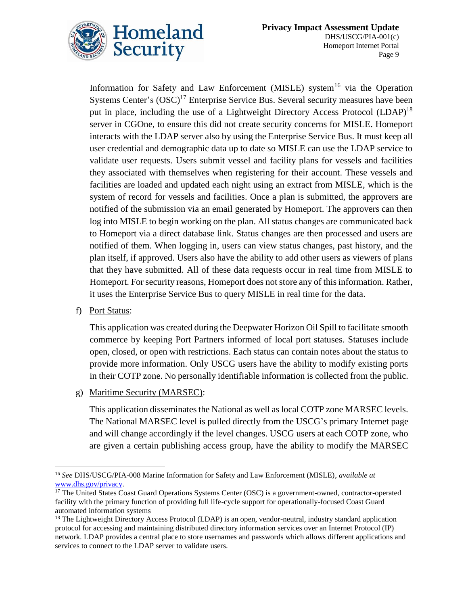

Information for Safety and Law Enforcement (MISLE) system<sup>16</sup> via the Operation Systems Center's  $(OSC)^{17}$  Enterprise Service Bus. Several security measures have been put in place, including the use of a Lightweight Directory Access Protocol (LDAP)<sup>18</sup> server in CGOne, to ensure this did not create security concerns for MISLE. Homeport interacts with the LDAP server also by using the Enterprise Service Bus. It must keep all user credential and demographic data up to date so MISLE can use the LDAP service to validate user requests. Users submit vessel and facility plans for vessels and facilities they associated with themselves when registering for their account. These vessels and facilities are loaded and updated each night using an extract from MISLE, which is the system of record for vessels and facilities. Once a plan is submitted, the approvers are notified of the submission via an email generated by Homeport. The approvers can then log into MISLE to begin working on the plan. All status changes are communicated back to Homeport via a direct database link. Status changes are then processed and users are notified of them. When logging in, users can view status changes, past history, and the plan itself, if approved. Users also have the ability to add other users as viewers of plans that they have submitted. All of these data requests occur in real time from MISLE to Homeport. For security reasons, Homeport does not store any of this information. Rather, it uses the Enterprise Service Bus to query MISLE in real time for the data.

f) Port Status:

This application was created during the Deepwater Horizon Oil Spill to facilitate smooth commerce by keeping Port Partners informed of local port statuses. Statuses include open, closed, or open with restrictions. Each status can contain notes about the status to provide more information. Only USCG users have the ability to modify existing ports in their COTP zone. No personally identifiable information is collected from the public.

g) Maritime Security (MARSEC):

This application disseminates the National as well as local COTP zone MARSEC levels. The National MARSEC level is pulled directly from the USCG's primary Internet page and will change accordingly if the level changes. USCG users at each COTP zone, who are given a certain publishing access group, have the ability to modify the MARSEC

l <sup>16</sup> *See* DHS/USCG/PIA-008 Marine Information for Safety and Law Enforcement (MISLE), *available at*  [www.dhs.gov/privacy.](file:///C:/Users/Riley.Dean/AppData/Local/Microsoft/Windows/INetCache/Content.Outlook/0ZA93SGD/www.dhs.gov/privacy) 

<sup>&</sup>lt;sup>17</sup> The United States Coast Guard Operations Systems Center (OSC) is a government-owned, contractor-operated facility with the primary function of providing full life-cycle support for operationally-focused Coast Guard automated information systems

<sup>&</sup>lt;sup>18</sup> The Lightweight Directory Access Protocol (LDAP) is an open, vendor-neutral, industry standard application protocol for accessing and maintaining distributed directory information services over an Internet Protocol (IP) network. LDAP provides a central place to store usernames and passwords which allows different applications and services to connect to the LDAP server to validate users.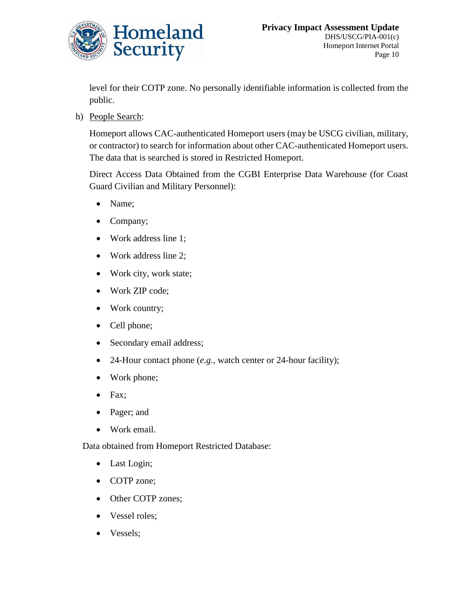

level for their COTP zone. No personally identifiable information is collected from the public.

h) People Search:

Homeport allows CAC-authenticated Homeport users (may be USCG civilian, military, or contractor) to search for information about other CAC-authenticated Homeport users. The data that is searched is stored in Restricted Homeport.

Direct Access Data Obtained from the CGBI Enterprise Data Warehouse (for Coast Guard Civilian and Military Personnel):

- Name;
- Company;
- Work address line 1;
- Work address line 2;
- Work city, work state;
- Work ZIP code;
- Work country;
- Cell phone;
- Secondary email address;
- 24-Hour contact phone (*e.g.*, watch center or 24-hour facility);
- Work phone;
- $\bullet$  Fax;
- Pager; and
- Work email.

Data obtained from Homeport Restricted Database:

- Last Login;
- COTP zone;
- Other COTP zones;
- Vessel roles;
- Vessels;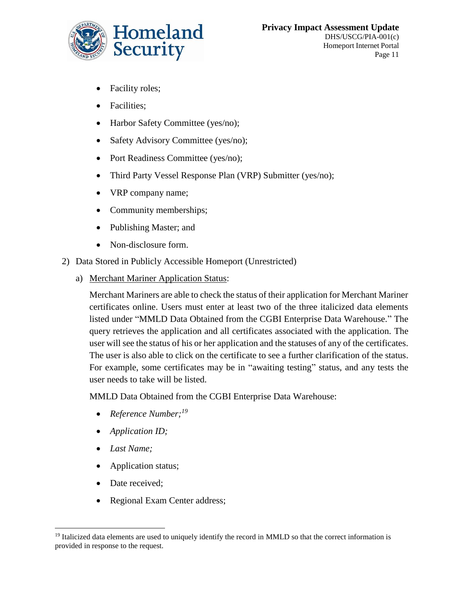

- Facility roles;
- Facilities;
- Harbor Safety Committee (yes/no);
- Safety Advisory Committee (yes/no);
- Port Readiness Committee (yes/no);
- Third Party Vessel Response Plan (VRP) Submitter (yes/no);
- VRP company name;
- Community memberships;
- Publishing Master; and
- Non-disclosure form.
- 2) Data Stored in Publicly Accessible Homeport (Unrestricted)
	- a) Merchant Mariner Application Status:

Merchant Mariners are able to check the status of their application for Merchant Mariner certificates online. Users must enter at least two of the three italicized data elements listed under "MMLD Data Obtained from the CGBI Enterprise Data Warehouse." The query retrieves the application and all certificates associated with the application. The user will see the status of his or her application and the statuses of any of the certificates. The user is also able to click on the certificate to see a further clarification of the status. For example, some certificates may be in "awaiting testing" status, and any tests the user needs to take will be listed.

MMLD Data Obtained from the CGBI Enterprise Data Warehouse:

- *Reference Number;<sup>19</sup>*
- *Application ID;*
- *Last Name;*
- Application status;
- Date received;
- Regional Exam Center address;

 $\overline{\phantom{a}}$ <sup>19</sup> Italicized data elements are used to uniquely identify the record in MMLD so that the correct information is provided in response to the request.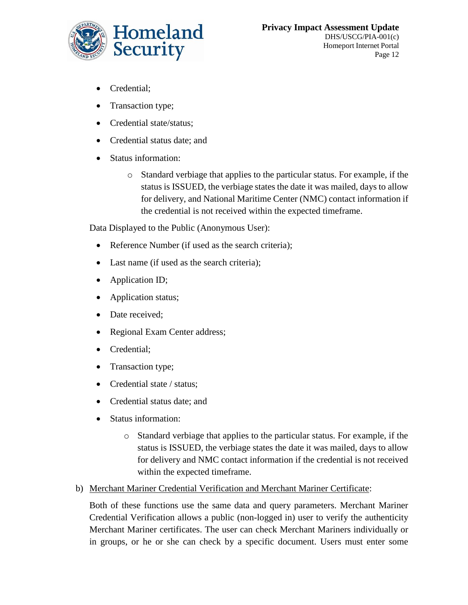

- Credential;
- Transaction type;
- Credential state/status:
- Credential status date; and
- Status information:
	- o Standard verbiage that applies to the particular status. For example, if the status is ISSUED, the verbiage states the date it was mailed, days to allow for delivery, and National Maritime Center (NMC) contact information if the credential is not received within the expected timeframe.

Data Displayed to the Public (Anonymous User):

- Reference Number (if used as the search criteria);
- Last name (if used as the search criteria);
- Application ID;
- Application status;
- Date received:
- Regional Exam Center address;
- Credential;
- Transaction type;
- Credential state / status;
- Credential status date; and
- Status information:
	- o Standard verbiage that applies to the particular status. For example, if the status is ISSUED, the verbiage states the date it was mailed, days to allow for delivery and NMC contact information if the credential is not received within the expected timeframe.
- b) Merchant Mariner Credential Verification and Merchant Mariner Certificate:

Both of these functions use the same data and query parameters. Merchant Mariner Credential Verification allows a public (non-logged in) user to verify the authenticity Merchant Mariner certificates. The user can check Merchant Mariners individually or in groups, or he or she can check by a specific document. Users must enter some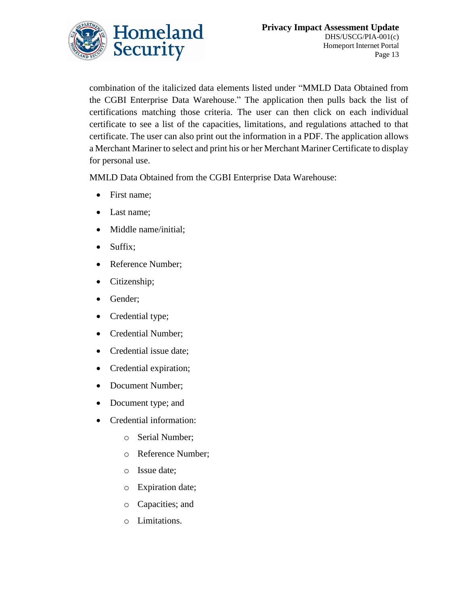

combination of the italicized data elements listed under "MMLD Data Obtained from the CGBI Enterprise Data Warehouse." The application then pulls back the list of certifications matching those criteria. The user can then click on each individual certificate to see a list of the capacities, limitations, and regulations attached to that certificate. The user can also print out the information in a PDF. The application allows a Merchant Mariner to select and print his or her Merchant Mariner Certificate to display for personal use.

MMLD Data Obtained from the CGBI Enterprise Data Warehouse:

- First name;
- Last name;
- Middle name/initial;
- Suffix;
- Reference Number;
- Citizenship;
- Gender;
- Credential type;
- Credential Number;
- Credential issue date;
- Credential expiration;
- Document Number;
- Document type; and
- Credential information:
	- o Serial Number;
	- o Reference Number;
	- o Issue date;
	- o Expiration date;
	- o Capacities; and
	- o Limitations.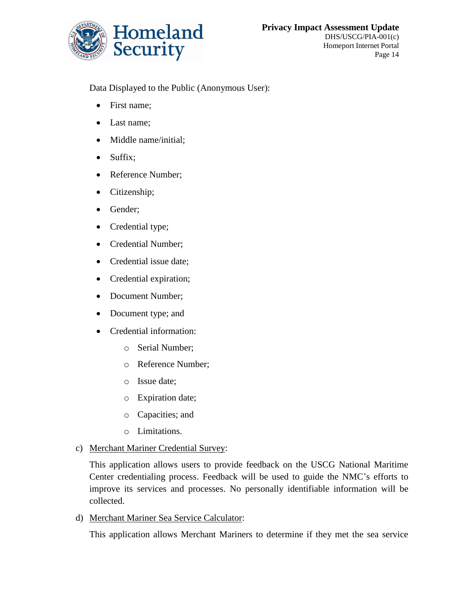

Data Displayed to the Public (Anonymous User):

- First name;
- Last name;
- Middle name/initial;
- Suffix;
- Reference Number;
- Citizenship;
- Gender;
- Credential type;
- Credential Number;
- Credential issue date;
- Credential expiration;
- Document Number;
- Document type; and
- Credential information:
	- o Serial Number;
	- o Reference Number;
	- o Issue date;
	- o Expiration date;
	- o Capacities; and
	- o Limitations.
- c) Merchant Mariner Credential Survey:

This application allows users to provide feedback on the USCG National Maritime Center credentialing process. Feedback will be used to guide the NMC's efforts to improve its services and processes. No personally identifiable information will be collected.

d) Merchant Mariner Sea Service Calculator:

This application allows Merchant Mariners to determine if they met the sea service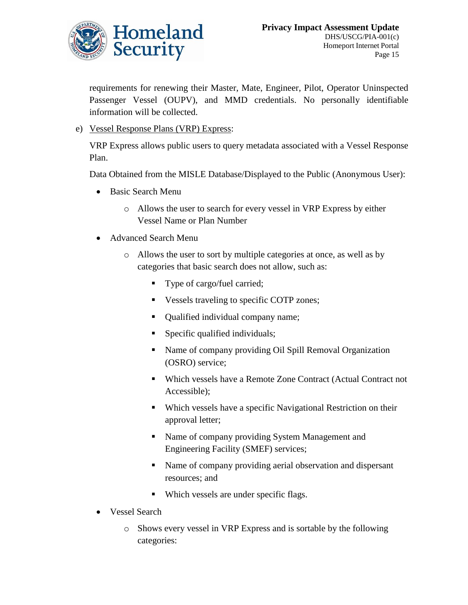

requirements for renewing their Master, Mate, Engineer, Pilot, Operator Uninspected Passenger Vessel (OUPV), and MMD credentials. No personally identifiable information will be collected.

e) Vessel Response Plans (VRP) Express:

VRP Express allows public users to query metadata associated with a Vessel Response Plan.

Data Obtained from the MISLE Database/Displayed to the Public (Anonymous User):

- Basic Search Menu
	- o Allows the user to search for every vessel in VRP Express by either Vessel Name or Plan Number
- Advanced Search Menu
	- o Allows the user to sort by multiple categories at once, as well as by categories that basic search does not allow, such as:
		- Type of cargo/fuel carried;
		- Vessels traveling to specific COTP zones;
		- Qualified individual company name;
		- **Specific qualified individuals;**
		- Name of company providing Oil Spill Removal Organization (OSRO) service;
		- Which vessels have a Remote Zone Contract (Actual Contract not Accessible);
		- Which vessels have a specific Navigational Restriction on their approval letter;
		- Name of company providing System Management and Engineering Facility (SMEF) services;
		- Name of company providing aerial observation and dispersant resources; and
		- Which vessels are under specific flags.
- Vessel Search
	- o Shows every vessel in VRP Express and is sortable by the following categories: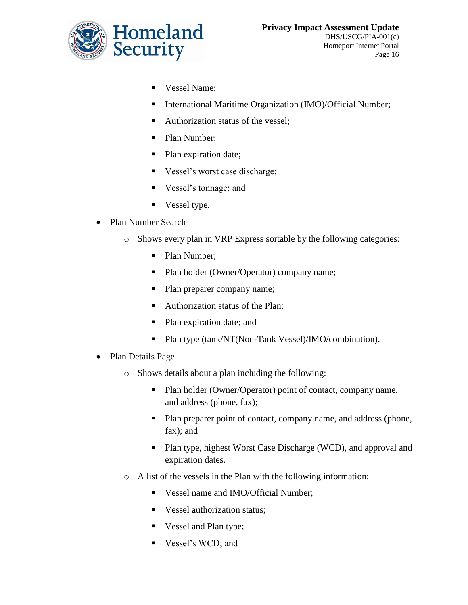

- Vessel Name;
- International Maritime Organization (IMO)/Official Number;
- Authorization status of the vessel;
- Plan Number;
- Plan expiration date;
- Vessel's worst case discharge;
- Vessel's tonnage; and
- Vessel type.
- Plan Number Search
	- o Shows every plan in VRP Express sortable by the following categories:
		- Plan Number;
		- Plan holder (Owner/Operator) company name;
		- Plan preparer company name;
		- Authorization status of the Plan;
		- Plan expiration date; and
		- Plan type (tank/NT(Non-Tank Vessel)/IMO/combination).
- Plan Details Page
	- o Shows details about a plan including the following:
		- Plan holder (Owner/Operator) point of contact, company name, and address (phone, fax);
		- Plan preparer point of contact, company name, and address (phone, fax); and
		- **Plan type, highest Worst Case Discharge (WCD), and approval and** expiration dates.
	- o A list of the vessels in the Plan with the following information:
		- Vessel name and IMO/Official Number;
		- Vessel authorization status:
		- Vessel and Plan type;
		- Vessel's WCD; and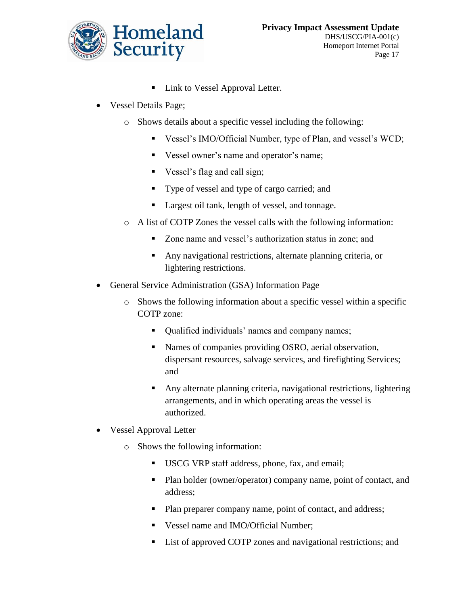

- Link to Vessel Approval Letter.
- Vessel Details Page;
	- o Shows details about a specific vessel including the following:
		- Vessel's IMO/Official Number, type of Plan, and vessel's WCD;
		- Vessel owner's name and operator's name;
		- Vessel's flag and call sign;
		- Type of vessel and type of cargo carried; and
		- Largest oil tank, length of vessel, and tonnage.
	- o A list of COTP Zones the vessel calls with the following information:
		- Zone name and vessel's authorization status in zone; and
		- Any navigational restrictions, alternate planning criteria, or lightering restrictions.
- General Service Administration (GSA) Information Page
	- o Shows the following information about a specific vessel within a specific COTP zone:
		- Qualified individuals' names and company names;
		- Names of companies providing OSRO, aerial observation, dispersant resources, salvage services, and firefighting Services; and
		- Any alternate planning criteria, navigational restrictions, lightering arrangements, and in which operating areas the vessel is authorized.
- Vessel Approval Letter
	- o Shows the following information:
		- USCG VRP staff address, phone, fax, and email;
		- Plan holder (owner/operator) company name, point of contact, and address;
		- Plan preparer company name, point of contact, and address;
		- Vessel name and IMO/Official Number;
		- List of approved COTP zones and navigational restrictions; and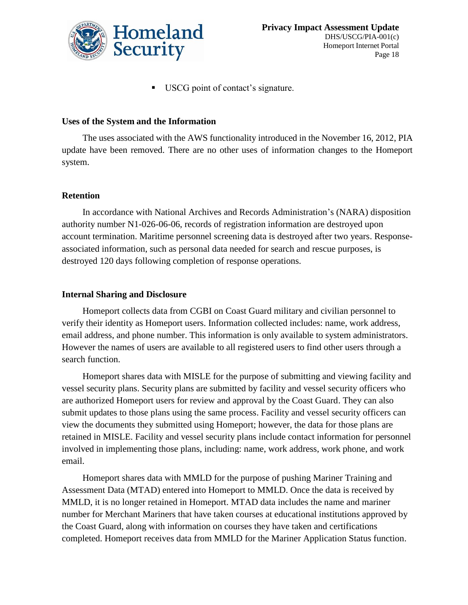

USCG point of contact's signature.

#### **Uses of the System and the Information**

The uses associated with the AWS functionality introduced in the November 16, 2012, PIA update have been removed. There are no other uses of information changes to the Homeport system.

#### **Retention**

In accordance with National Archives and Records Administration's (NARA) disposition authority number N1-026-06-06, records of registration information are destroyed upon account termination. Maritime personnel screening data is destroyed after two years. Responseassociated information, such as personal data needed for search and rescue purposes, is destroyed 120 days following completion of response operations.

#### **Internal Sharing and Disclosure**

Homeport collects data from CGBI on Coast Guard military and civilian personnel to verify their identity as Homeport users. Information collected includes: name, work address, email address, and phone number. This information is only available to system administrators. However the names of users are available to all registered users to find other users through a search function.

Homeport shares data with MISLE for the purpose of submitting and viewing facility and vessel security plans. Security plans are submitted by facility and vessel security officers who are authorized Homeport users for review and approval by the Coast Guard. They can also submit updates to those plans using the same process. Facility and vessel security officers can view the documents they submitted using Homeport; however, the data for those plans are retained in MISLE. Facility and vessel security plans include contact information for personnel involved in implementing those plans, including: name, work address, work phone, and work email.

Homeport shares data with MMLD for the purpose of pushing Mariner Training and Assessment Data (MTAD) entered into Homeport to MMLD. Once the data is received by MMLD, it is no longer retained in Homeport. MTAD data includes the name and mariner number for Merchant Mariners that have taken courses at educational institutions approved by the Coast Guard, along with information on courses they have taken and certifications completed. Homeport receives data from MMLD for the Mariner Application Status function.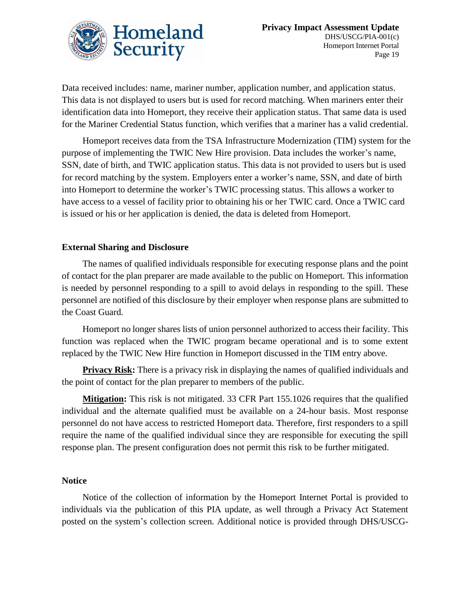

Data received includes: name, mariner number, application number, and application status. This data is not displayed to users but is used for record matching. When mariners enter their identification data into Homeport, they receive their application status. That same data is used for the Mariner Credential Status function, which verifies that a mariner has a valid credential.

Homeport receives data from the TSA Infrastructure Modernization (TIM) system for the purpose of implementing the TWIC New Hire provision. Data includes the worker's name, SSN, date of birth, and TWIC application status. This data is not provided to users but is used for record matching by the system. Employers enter a worker's name, SSN, and date of birth into Homeport to determine the worker's TWIC processing status. This allows a worker to have access to a vessel of facility prior to obtaining his or her TWIC card. Once a TWIC card is issued or his or her application is denied, the data is deleted from Homeport.

#### **External Sharing and Disclosure**

The names of qualified individuals responsible for executing response plans and the point of contact for the plan preparer are made available to the public on Homeport. This information is needed by personnel responding to a spill to avoid delays in responding to the spill. These personnel are notified of this disclosure by their employer when response plans are submitted to the Coast Guard.

Homeport no longer shares lists of union personnel authorized to access their facility. This function was replaced when the TWIC program became operational and is to some extent replaced by the TWIC New Hire function in Homeport discussed in the TIM entry above.

**Privacy Risk:** There is a privacy risk in displaying the names of qualified individuals and the point of contact for the plan preparer to members of the public.

**Mitigation:** This risk is not mitigated. 33 CFR Part 155.1026 requires that the qualified individual and the alternate qualified must be available on a 24-hour basis. Most response personnel do not have access to restricted Homeport data. Therefore, first responders to a spill require the name of the qualified individual since they are responsible for executing the spill response plan. The present configuration does not permit this risk to be further mitigated.

#### **Notice**

Notice of the collection of information by the Homeport Internet Portal is provided to individuals via the publication of this PIA update, as well through a Privacy Act Statement posted on the system's collection screen. Additional notice is provided through DHS/USCG-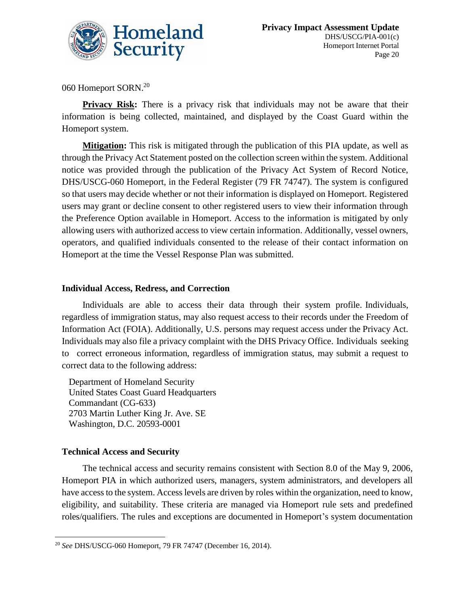

060 Homeport SORN.<sup>20</sup>

**Privacy Risk:** There is a privacy risk that individuals may not be aware that their information is being collected, maintained, and displayed by the Coast Guard within the Homeport system.

**Mitigation:** This risk is mitigated through the publication of this PIA update, as well as through the Privacy Act Statement posted on the collection screen within the system. Additional notice was provided through the publication of the Privacy Act System of Record Notice, DHS/USCG-060 Homeport, in the Federal Register (79 FR 74747). The system is configured so that users may decide whether or not their information is displayed on Homeport. Registered users may grant or decline consent to other registered users to view their information through the Preference Option available in Homeport. Access to the information is mitigated by only allowing users with authorized access to view certain information. Additionally, vessel owners, operators, and qualified individuals consented to the release of their contact information on Homeport at the time the Vessel Response Plan was submitted.

#### **Individual Access, Redress, and Correction**

Individuals are able to access their data through their system profile. Individuals, regardless of immigration status, may also request access to their records under the Freedom of Information Act (FOIA). Additionally, U.S. persons may request access under the Privacy Act. Individuals may also file a privacy complaint with the DHS Privacy Office. Individuals seeking to correct erroneous information, regardless of immigration status, may submit a request to correct data to the following address:

Department of Homeland Security United States Coast Guard Headquarters Commandant (CG-633) 2703 Martin Luther King Jr. Ave. SE Washington, D.C. 20593-0001

#### **Technical Access and Security**

The technical access and security remains consistent with Section 8.0 of the May 9, 2006, Homeport PIA in which authorized users, managers, system administrators, and developers all have access to the system. Access levels are driven by roles within the organization, need to know, eligibility, and suitability. These criteria are managed via Homeport rule sets and predefined roles/qualifiers. The rules and exceptions are documented in Homeport's system documentation

 $\overline{\phantom{a}}$ <sup>20</sup> *See* DHS/USCG-060 Homeport, 79 FR 74747 (December 16, 2014).